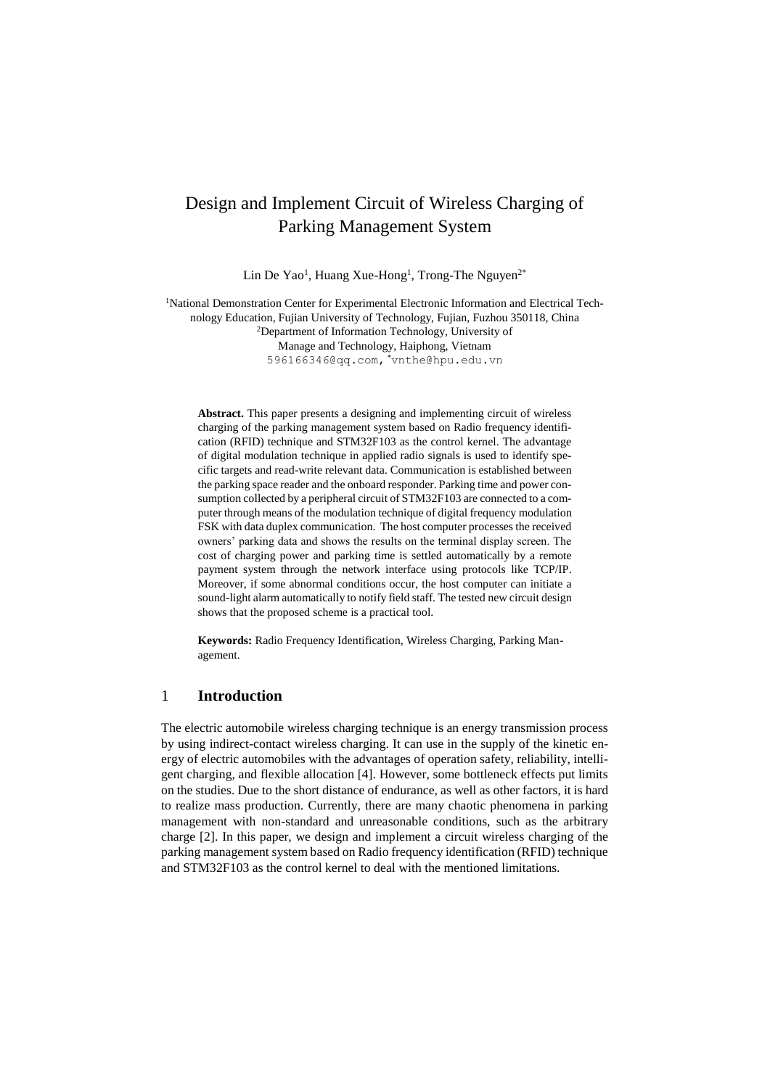# Design and Implement Circuit of Wireless Charging of Parking Management System

Lin De Yao<sup>1</sup>, Huang Xue-Hong<sup>1</sup>, Trong-The Nguyen<sup>2\*</sup>

1National Demonstration Center for Experimental Electronic Information and Electrical Technology Education, Fujian University of Technology, Fujian, Fuzhou 350118, China <sup>2</sup>Department of Information Technology, University of Manage and Technology, Haiphong, Vietnam 596166346@qq.com, \*vnthe@hpu.edu.vn

**Abstract.** This paper presents a designing and implementing circuit of wireless charging of the parking management system based on Radio frequency identification (RFID) technique and STM32F103 as the control kernel. The advantage of digital modulation technique in applied radio signals is used to identify specific targets and read-write relevant data. Communication is established between the parking space reader and the onboard responder. Parking time and power consumption collected by a peripheral circuit of STM32F103 are connected to a computer through means of the modulation technique of digital frequency modulation FSK with data duplex communication. The host computer processes the received owners' parking data and shows the results on the terminal display screen. The cost of charging power and parking time is settled automatically by a remote payment system through the network interface using protocols like TCP/IP. Moreover, if some abnormal conditions occur, the host computer can initiate a sound-light alarm automatically to notify field staff. The tested new circuit design shows that the proposed scheme is a practical tool.

**Keywords:** Radio Frequency Identification, Wireless Charging, Parking Management.

## 1 **Introduction**

The electric automobile wireless charging technique is an energy transmission process by using indirect-contact wireless charging. It can use in the supply of the kinetic energy of electric automobiles with the advantages of operation safety, reliability, intelligent charging, and flexible allocation [4]. However, some bottleneck effects put limits on the studies. Due to the short distance of endurance, as well as other factors, it is hard to realize mass production. Currently, there are many chaotic phenomena in parking management with non-standard and unreasonable conditions, such as the arbitrary charge [2]. In this paper, we design and implement a circuit wireless charging of the parking management system based on Radio frequency identification (RFID) technique and STM32F103 as the control kernel to deal with the mentioned limitations.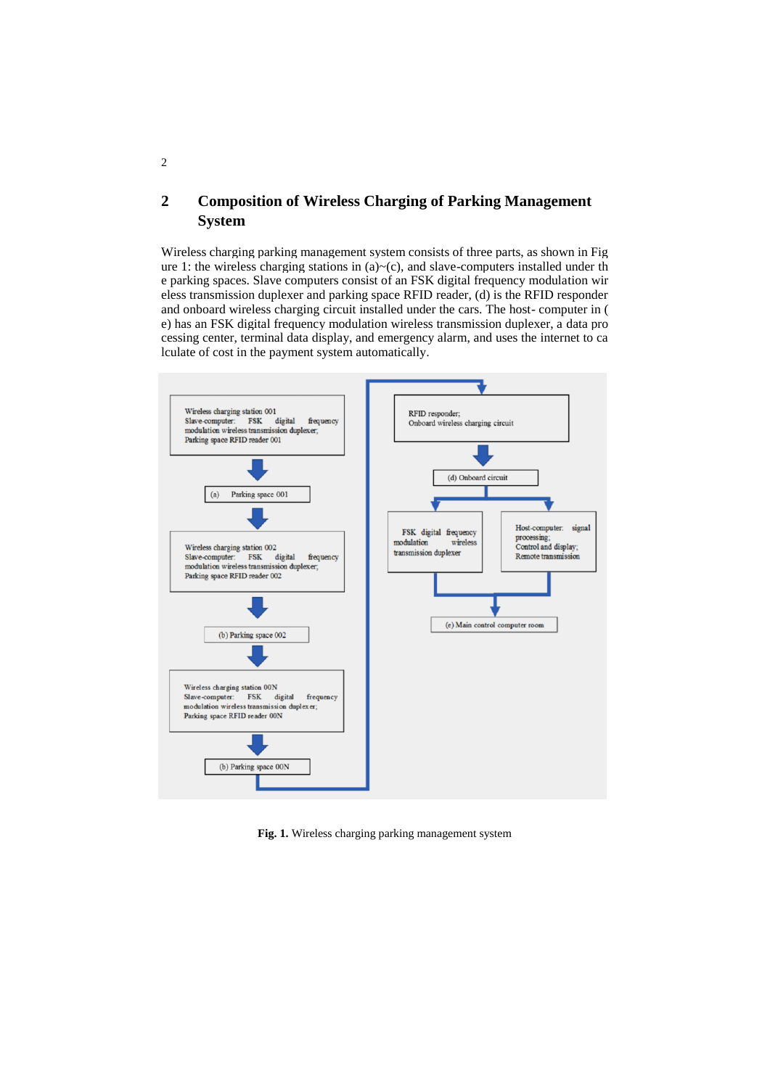## **2 Composition of Wireless Charging of Parking Management System**

Wireless charging parking management system consists of three parts, as shown in Fig ure 1: the wireless charging stations in  $(a) \sim (c)$ , and slave-computers installed under th e parking spaces. Slave computers consist of an FSK digital frequency modulation wir eless transmission duplexer and parking space RFID reader, (d) is the RFID responder and onboard wireless charging circuit installed under the cars. The host- computer in ( e) has an FSK digital frequency modulation wireless transmission duplexer, a data pro cessing center, terminal data display, and emergency alarm, and uses the internet to ca lculate of cost in the payment system automatically.



**Fig. 1.** Wireless charging parking management system

2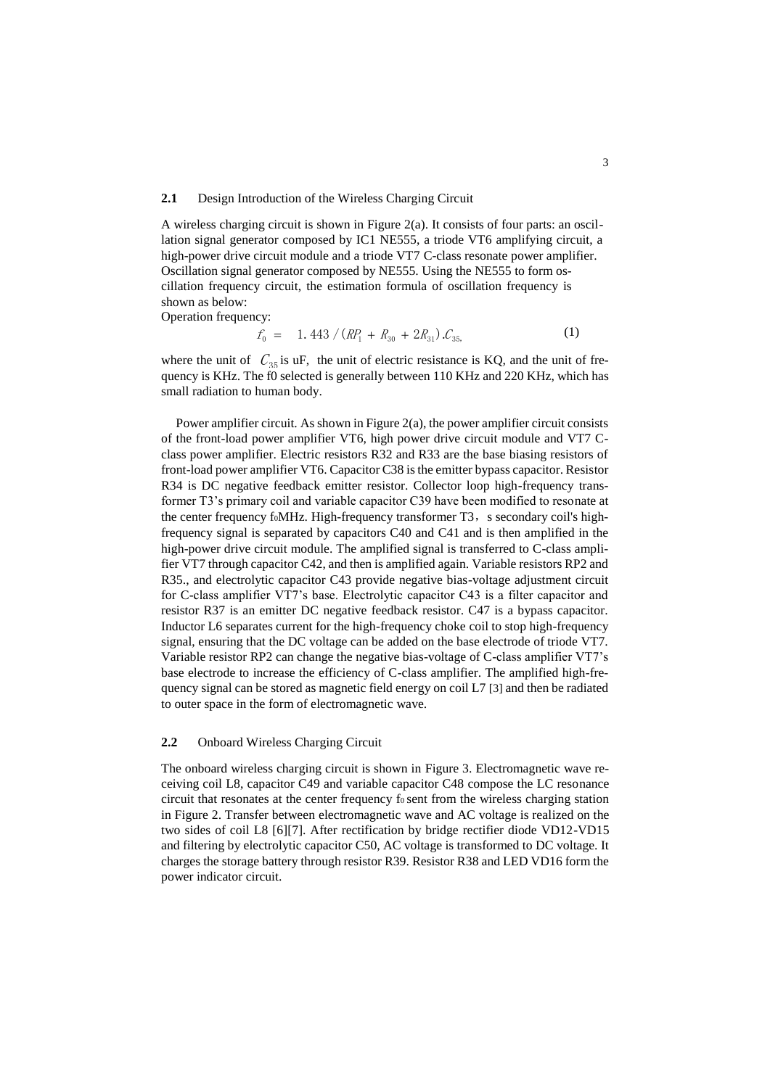### **2.1** Design Introduction of the Wireless Charging Circuit

A wireless charging circuit is shown in Figure 2(a). It consists of four parts: an oscillation signal generator composed by IC1 NE555, a triode VT6 amplifying circuit, a high-power drive circuit module and a triode VT7 C-class resonate power amplifier. Oscillation signal generator composed by NE555. Using the NE555 to form oscillation frequency circuit, the estimation formula of oscillation frequency is shown as below:

Operation frequency:

$$
f_0 = 1.443 / (RP_1 + R_{30} + 2R_{31}) \mathcal{L}_{35,}
$$
 (1)

where the unit of  $C_{35}$  is uF, the unit of electric resistance is KQ, and the unit of frequency is KHz. The f0 selected is generally between 110 KHz and 220 KHz, which has small radiation to human body.

Power amplifier circuit. As shown in Figure 2(a), the power amplifier circuit consists of the front-load power amplifier VT6, high power drive circuit module and VT7 Cclass power amplifier. Electric resistors R32 and R33 are the base biasing resistors of front-load power amplifier VT6. Capacitor C38 is the emitter bypass capacitor. Resistor R34 is DC negative feedback emitter resistor. Collector loop high-frequency transformer T3's primary coil and variable capacitor C39 have been modified to resonate at the center frequency foMHz. High-frequency transformer T3, s secondary coil's highfrequency signal is separated by capacitors C40 and C41 and is then amplified in the high-power drive circuit module. The amplified signal is transferred to C-class amplifier VT7 through capacitor C42, and then is amplified again. Variable resistors RP2 and R35., and electrolytic capacitor C43 provide negative bias-voltage adjustment circuit for C-class amplifier VT7's base. Electrolytic capacitor C43 is a filter capacitor and resistor R37 is an emitter DC negative feedback resistor. C47 is a bypass capacitor. Inductor L6 separates current for the high-frequency choke coil to stop high-frequency signal, ensuring that the DC voltage can be added on the base electrode of triode VT7. Variable resistor RP2 can change the negative bias-voltage of C-class amplifier VT7's base electrode to increase the efficiency of C-class amplifier. The amplified high-frequency signal can be stored as magnetic field energy on coil L7 [3] and then be radiated to outer space in the form of electromagnetic wave.

#### **2.2** Onboard Wireless Charging Circuit

The onboard wireless charging circuit is shown in Figure 3. Electromagnetic wave receiving coil L8, capacitor C49 and variable capacitor C48 compose the LC resonance circuit that resonates at the center frequency fosent from the wireless charging station in Figure 2. Transfer between electromagnetic wave and AC voltage is realized on the two sides of coil L8 [6][7]. After rectification by bridge rectifier diode VD12-VD15 and filtering by electrolytic capacitor C50, AC voltage is transformed to DC voltage. It charges the storage battery through resistor R39. Resistor R38 and LED VD16 form the power indicator circuit.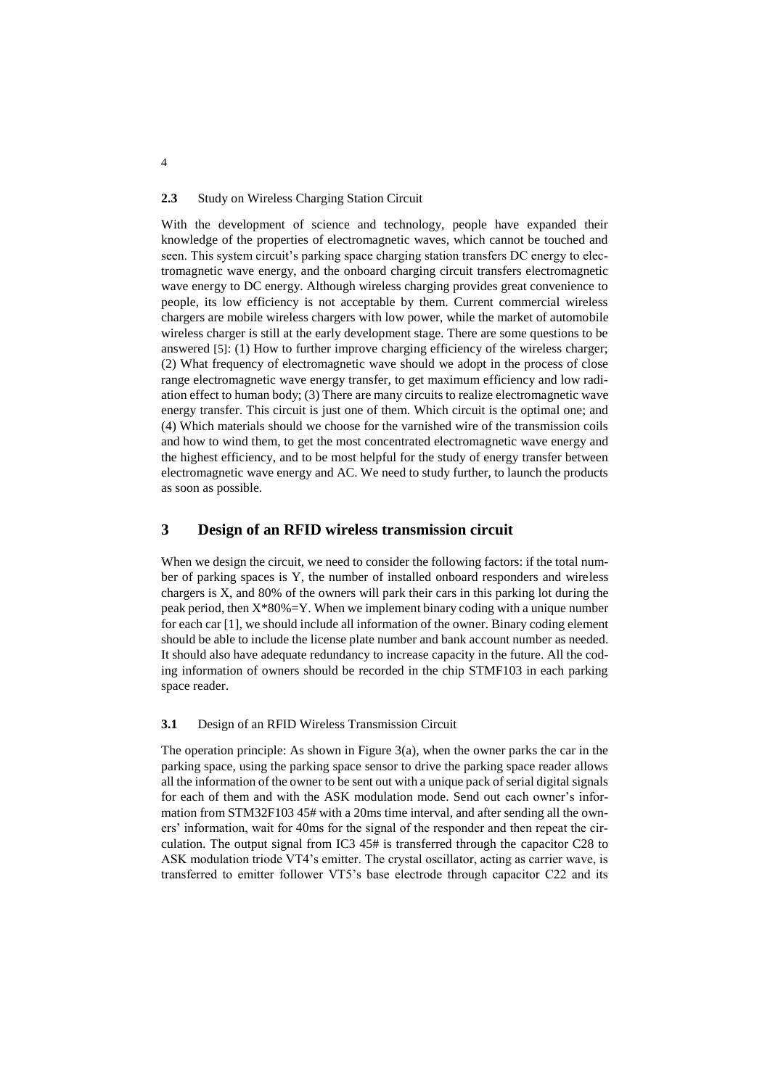### **2.3** Study on Wireless Charging Station Circuit

With the development of science and technology, people have expanded their knowledge of the properties of electromagnetic waves, which cannot be touched and seen. This system circuit's parking space charging station transfers DC energy to electromagnetic wave energy, and the onboard charging circuit transfers electromagnetic wave energy to DC energy. Although wireless charging provides great convenience to people, its low efficiency is not acceptable by them. Current commercial wireless chargers are mobile wireless chargers with low power, while the market of automobile wireless charger is still at the early development stage. There are some questions to be answered [5]: (1) How to further improve charging efficiency of the wireless charger; (2) What frequency of electromagnetic wave should we adopt in the process of close range electromagnetic wave energy transfer, to get maximum efficiency and low radiation effect to human body; (3) There are many circuits to realize electromagnetic wave energy transfer. This circuit is just one of them. Which circuit is the optimal one; and (4) Which materials should we choose for the varnished wire of the transmission coils and how to wind them, to get the most concentrated electromagnetic wave energy and the highest efficiency, and to be most helpful for the study of energy transfer between electromagnetic wave energy and AC. We need to study further, to launch the products as soon as possible.

## **3 Design of an RFID wireless transmission circuit**

When we design the circuit, we need to consider the following factors: if the total number of parking spaces is Y, the number of installed onboard responders and wireless chargers is X, and 80% of the owners will park their cars in this parking lot during the peak period, then  $X^*80\% = Y$ . When we implement binary coding with a unique number for each car [1], we should include all information of the owner. Binary coding element should be able to include the license plate number and bank account number as needed. It should also have adequate redundancy to increase capacity in the future. All the coding information of owners should be recorded in the chip STMF103 in each parking space reader.

#### **3.1** Design of an RFID Wireless Transmission Circuit

The operation principle: As shown in Figure 3(a), when the owner parks the car in the parking space, using the parking space sensor to drive the parking space reader allows all the information of the owner to be sent out with a unique pack of serial digital signals for each of them and with the ASK modulation mode. Send out each owner's information from STM32F103 45# with a 20ms time interval, and after sending all the owners' information, wait for 40ms for the signal of the responder and then repeat the circulation. The output signal from IC3 45# is transferred through the capacitor C28 to ASK modulation triode VT4's emitter. The crystal oscillator, acting as carrier wave, is transferred to emitter follower VT5's base electrode through capacitor C22 and its

4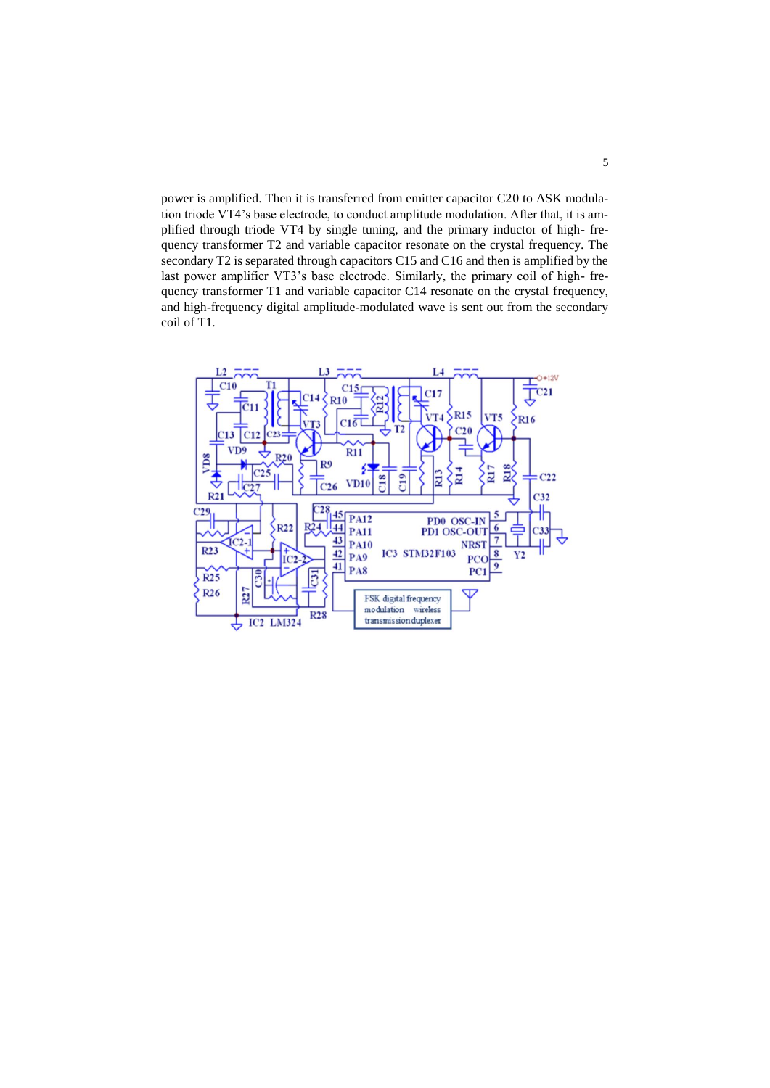power is amplified. Then it is transferred from emitter capacitor C20 to ASK modulation triode VT4's base electrode, to conduct amplitude modulation. After that, it is amplified through triode VT4 by single tuning, and the primary inductor of high- frequency transformer T2 and variable capacitor resonate on the crystal frequency. The secondary T2 is separated through capacitors C15 and C16 and then is amplified by the last power amplifier VT3's base electrode. Similarly, the primary coil of high- frequency transformer T1 and variable capacitor C14 resonate on the crystal frequency, and high-frequency digital amplitude-modulated wave is sent out from the secondary coil of T1.

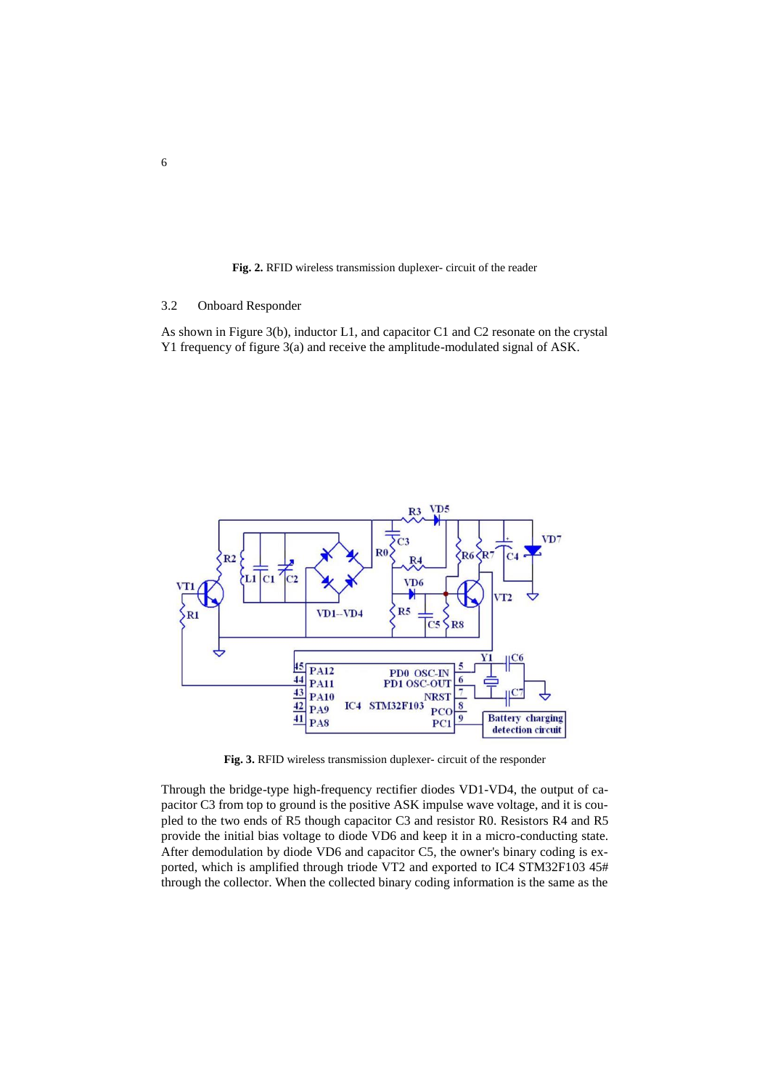**Fig. 2.** RFID wireless transmission duplexer- circuit of the reader

## 3.2 Onboard Responder

As shown in Figure 3(b), inductor L1, and capacitor C1 and C2 resonate on the crystal Y1 frequency of figure 3(a) and receive the amplitude-modulated signal of ASK.



**Fig. 3.** RFID wireless transmission duplexer- circuit of the responder

Through the bridge-type high-frequency rectifier diodes VD1-VD4, the output of capacitor C3 from top to ground is the positive ASK impulse wave voltage, and it is coupled to the two ends of R5 though capacitor C3 and resistor R0. Resistors R4 and R5 provide the initial bias voltage to diode VD6 and keep it in a micro-conducting state. After demodulation by diode VD6 and capacitor C5, the owner's binary coding is exported, which is amplified through triode VT2 and exported to IC4 STM32F103 45# through the collector. When the collected binary coding information is the same as the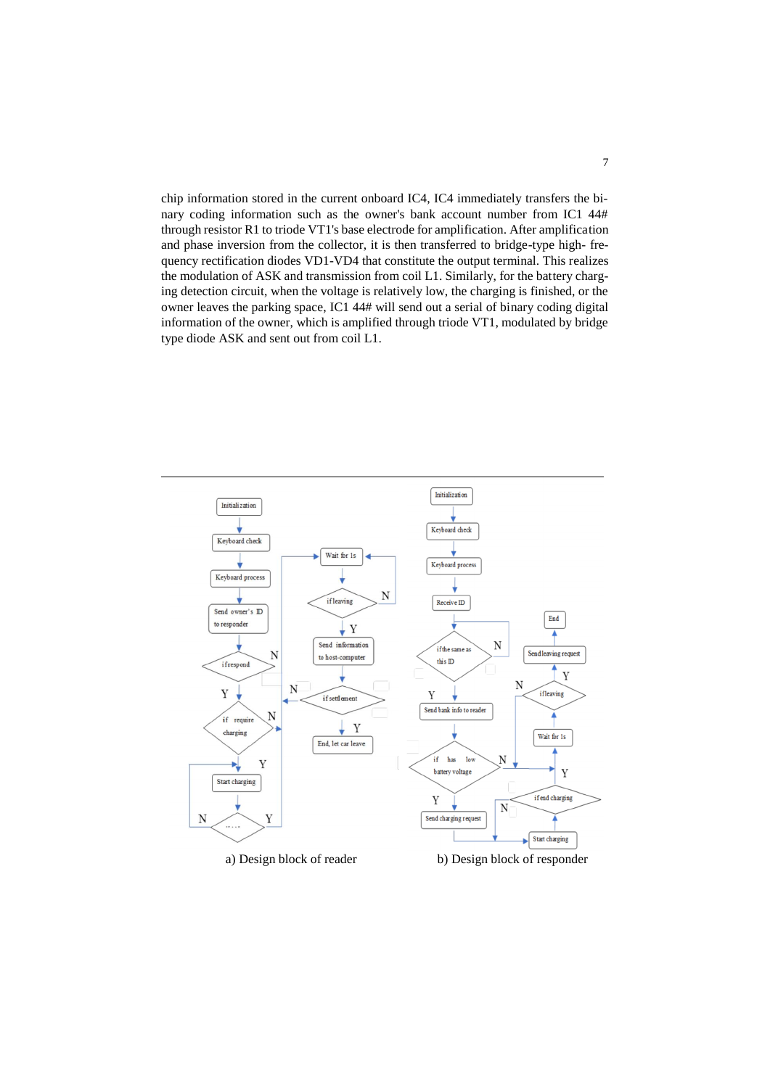chip information stored in the current onboard IC4, IC4 immediately transfers the binary coding information such as the owner's bank account number from IC1 44# through resistor R1 to triode VT1's base electrode for amplification. After amplification and phase inversion from the collector, it is then transferred to bridge-type high- frequency rectification diodes VD1-VD4 that constitute the output terminal. This realizes the modulation of ASK and transmission from coil L1. Similarly, for the battery charging detection circuit, when the voltage is relatively low, the charging is finished, or the owner leaves the parking space, IC1 44# will send out a serial of binary coding digital information of the owner, which is amplified through triode VT1, modulated by bridge type diode ASK and sent out from coil L1.

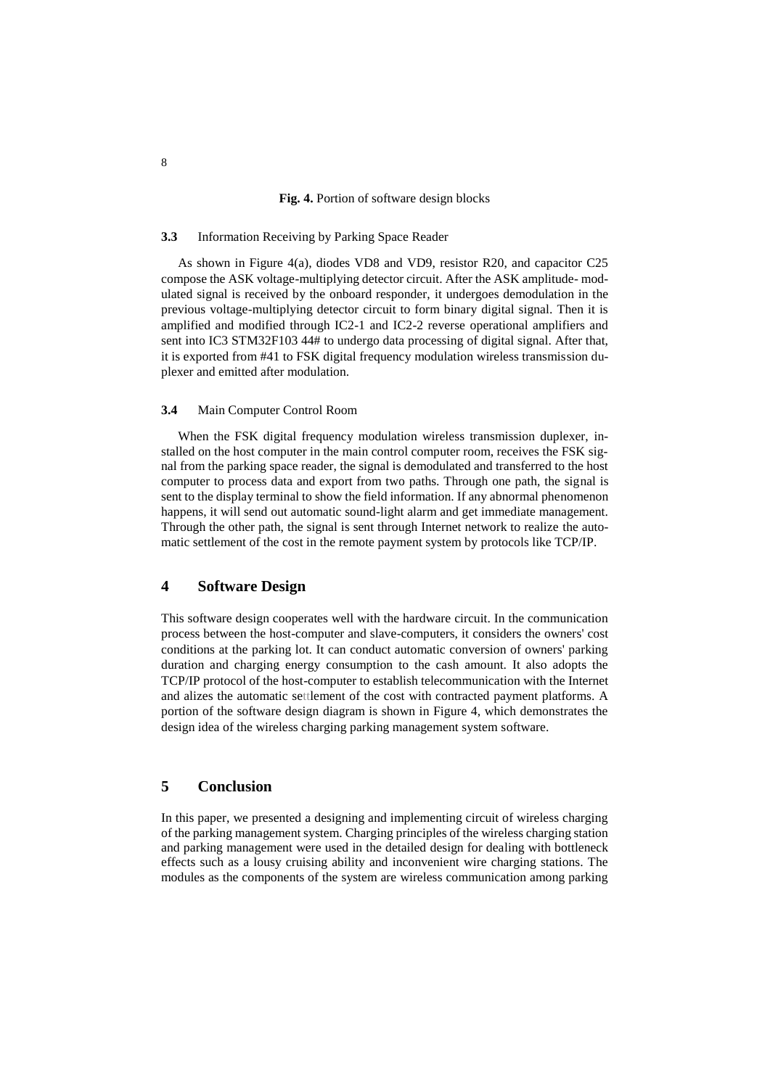#### **Fig. 4.** Portion of software design blocks

### **3.3** Information Receiving by Parking Space Reader

As shown in Figure 4(a), diodes VD8 and VD9, resistor R20, and capacitor C25 compose the ASK voltage-multiplying detector circuit. After the ASK amplitude- modulated signal is received by the onboard responder, it undergoes demodulation in the previous voltage-multiplying detector circuit to form binary digital signal. Then it is amplified and modified through IC2-1 and IC2-2 reverse operational amplifiers and sent into IC3 STM32F103 44# to undergo data processing of digital signal. After that, it is exported from #41 to FSK digital frequency modulation wireless transmission duplexer and emitted after modulation.

### **3.4** Main Computer Control Room

When the FSK digital frequency modulation wireless transmission duplexer, installed on the host computer in the main control computer room, receives the FSK signal from the parking space reader, the signal is demodulated and transferred to the host computer to process data and export from two paths. Through one path, the signal is sent to the display terminal to show the field information. If any abnormal phenomenon happens, it will send out automatic sound-light alarm and get immediate management. Through the other path, the signal is sent through Internet network to realize the automatic settlement of the cost in the remote payment system by protocols like TCP/IP.

## **4 Software Design**

This software design cooperates well with the hardware circuit. In the communication process between the host-computer and slave-computers, it considers the owners' cost conditions at the parking lot. It can conduct automatic conversion of owners' parking duration and charging energy consumption to the cash amount. It also adopts the TCP/IP protocol of the host-computer to establish telecommunication with the Internet and alizes the automatic settlement of the cost with contracted payment platforms. A portion of the software design diagram is shown in Figure 4, which demonstrates the design idea of the wireless charging parking management system software.

## **5 Conclusion**

In this paper, we presented a designing and implementing circuit of wireless charging of the parking management system. Charging principles of the wireless charging station and parking management were used in the detailed design for dealing with bottleneck effects such as a lousy cruising ability and inconvenient wire charging stations. The modules as the components of the system are wireless communication among parking